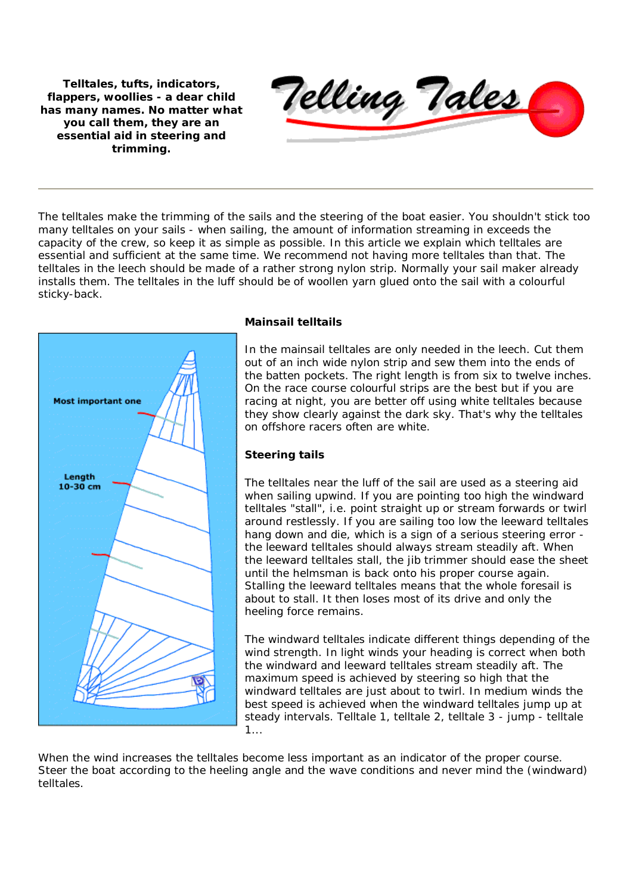**Telltales, tufts, indicators, flappers, woollies - a dear child has many names. No matter what you call them, they are an essential aid in steering and trimming.**



The telltales make the trimming of the sails and the steering of the boat easier. You shouldn't stick too many telltales on your sails - when sailing, the amount of information streaming in exceeds the capacity of the crew, so keep it as simple as possible. In this article we explain which telltales are essential and sufficient at the same time. We recommend not having more telltales than that. The telltales in the leech should be made of a rather strong nylon strip. Normally your sail maker already installs them. The telltales in the luff should be of woollen yarn glued onto the sail with a colourful sticky-back.



# **Mainsail telltails**

In the mainsail telltales are only needed in the leech. Cut them out of an inch wide nylon strip and sew them into the ends of the batten pockets. The right length is from six to twelve inches. On the race course colourful strips are the best but if you are racing at night, you are better off using white telltales because they show clearly against the dark sky. That's why the telltales on offshore racers often are white.

## **Steering tails**

The telltales near the luff of the sail are used as a steering aid when sailing upwind. If you are pointing too high the windward telltales "stall", i.e. point straight up or stream forwards or twirl around restlessly. If you are sailing too low the leeward telltales hang down and die, which is a sign of a serious steering error the leeward telltales should always stream steadily aft. When the leeward telltales stall, the jib trimmer should ease the sheet until the helmsman is back onto his proper course again. Stalling the leeward telltales means that the whole foresail is about to stall. It then loses most of its drive and only the heeling force remains.

The windward telltales indicate different things depending of the wind strength. In light winds your heading is correct when both the windward and leeward telltales stream steadily aft. The maximum speed is achieved by steering so high that the windward telltales are just about to twirl. In medium winds the best speed is achieved when the windward telltales jump up at steady intervals. Telltale 1, telltale 2, telltale 3 - jump - telltale 1...

When the wind increases the telltales become less important as an indicator of the proper course. Steer the boat according to the heeling angle and the wave conditions and never mind the (windward) telltales.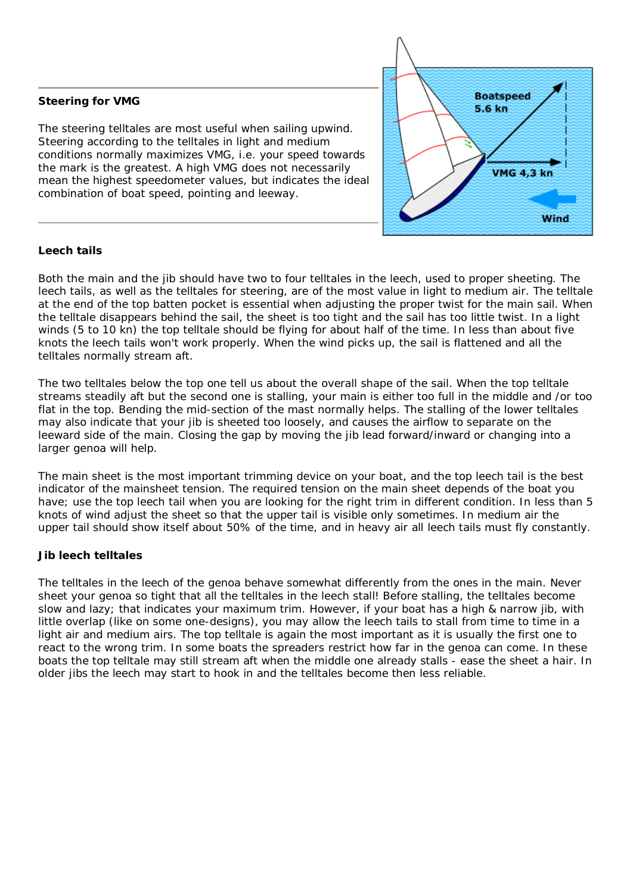# **Steering for VMG**

The steering telltales are most useful when sailing upwind. Steering according to the telltales in light and medium conditions normally maximizes VMG, i.e. your speed towards the mark is the greatest. A high VMG does not necessarily mean the highest speedometer values, but indicates the ideal combination of boat speed, pointing and leeway.



# **Leech tails**

Both the main and the jib should have two to four telltales in the leech, used to proper sheeting. The leech tails, as well as the telltales for steering, are of the most value in light to medium air. The telltale at the end of the top batten pocket is essential when adjusting the proper twist for the main sail. When the telltale disappears behind the sail, the sheet is too tight and the sail has too little twist. In a light winds (5 to 10 kn) the top telltale should be flying for about half of the time. In less than about five knots the leech tails won't work properly. When the wind picks up, the sail is flattened and all the telltales normally stream aft.

The two telltales below the top one tell us about the overall shape of the sail. When the top telltale streams steadily aft but the second one is stalling, your main is either too full in the middle and /or too flat in the top. Bending the mid-section of the mast normally helps. The stalling of the lower telltales may also indicate that your jib is sheeted too loosely, and causes the airflow to separate on the leeward side of the main. Closing the gap by moving the jib lead forward/inward or changing into a larger genoa will help.

The main sheet is the most important trimming device on your boat, and the top leech tail is the best indicator of the mainsheet tension. The required tension on the main sheet depends of the boat you have; use the top leech tail when you are looking for the right trim in different condition. In less than 5 knots of wind adjust the sheet so that the upper tail is visible only sometimes. In medium air the upper tail should show itself about 50% of the time, and in heavy air all leech tails must fly constantly.

## **Jib leech telltales**

The telltales in the leech of the genoa behave somewhat differently from the ones in the main. Never sheet your genoa so tight that all the telltales in the leech stall! Before stalling, the telltales become slow and lazy; that indicates your maximum trim. However, if your boat has a high & narrow jib, with little overlap (like on some one-designs), you may allow the leech tails to stall from time to time in a light air and medium airs. The top telltale is again the most important as it is usually the first one to react to the wrong trim. In some boats the spreaders restrict how far in the genoa can come. In these boats the top telltale may still stream aft when the middle one already stalls - ease the sheet a hair. In older jibs the leech may start to hook in and the telltales become then less reliable.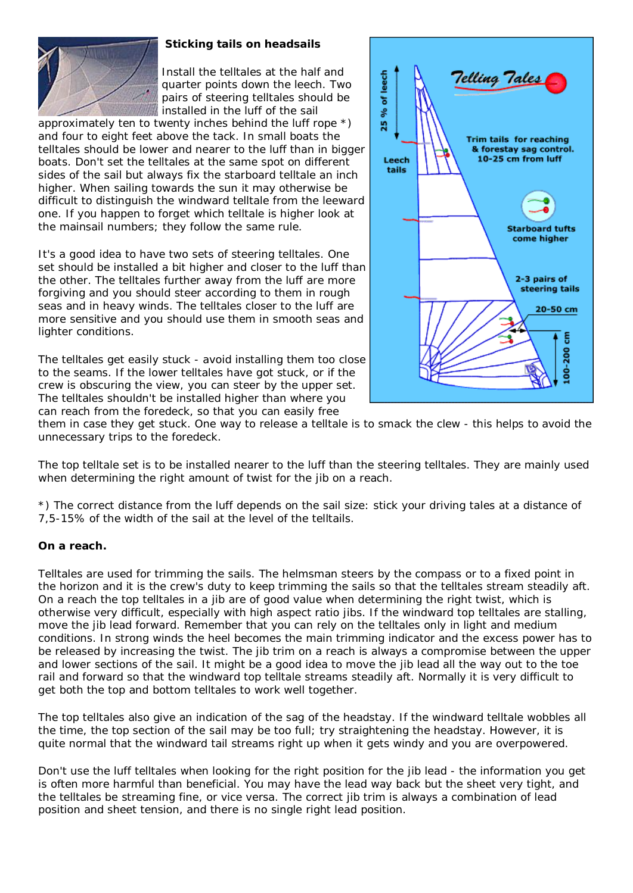

## **Sticking tails on headsails**

Install the telltales at the half and quarter points down the leech. Two pairs of steering telltales should be installed in the luff of the sail

approximately ten to twenty inches behind the luff rope \*) and four to eight feet above the tack. In small boats the telltales should be lower and nearer to the luff than in bigger boats. Don't set the telltales at the same spot on different sides of the sail but always fix the starboard telltale an inch higher. When sailing towards the sun it may otherwise be difficult to distinguish the windward telltale from the leeward one. If you happen to forget which telltale is higher look at the mainsail numbers; they follow the same rule.

It's a good idea to have two sets of steering telltales. One set should be installed a bit higher and closer to the luff than the other. The telltales further away from the luff are more forgiving and you should steer according to them in rough seas and in heavy winds. The telltales closer to the luff are more sensitive and you should use them in smooth seas and lighter conditions.

The telltales get easily stuck - avoid installing them too close to the seams. If the lower telltales have got stuck, or if the crew is obscuring the view, you can steer by the upper set. The telltales shouldn't be installed higher than where you can reach from the foredeck, so that you can easily free



them in case they get stuck. One way to release a telltale is to smack the clew - this helps to avoid the unnecessary trips to the foredeck.

The top telltale set is to be installed nearer to the luff than the steering telltales. They are mainly used when determining the right amount of twist for the jib on a reach.

\*) The correct distance from the luff depends on the sail size: stick your driving tales at a distance of 7,5-15% of the width of the sail at the level of the telltails.

#### **On a reach.**

Telltales are used for trimming the sails. The helmsman steers by the compass or to a fixed point in the horizon and it is the crew's duty to keep trimming the sails so that the telltales stream steadily aft. On a reach the top telltales in a jib are of good value when determining the right twist, which is otherwise very difficult, especially with high aspect ratio jibs. If the windward top telltales are stalling, move the jib lead forward. Remember that you can rely on the telltales only in light and medium conditions. In strong winds the heel becomes the main trimming indicator and the excess power has to be released by increasing the twist. The jib trim on a reach is always a compromise between the upper and lower sections of the sail. It might be a good idea to move the jib lead all the way out to the toe rail and forward so that the windward top telltale streams steadily aft. Normally it is very difficult to get both the top and bottom telltales to work well together.

The top telltales also give an indication of the sag of the headstay. If the windward telltale wobbles all the time, the top section of the sail may be too full; try straightening the headstay. However, it is quite normal that the windward tail streams right up when it gets windy and you are overpowered.

Don't use the luff telltales when looking for the right position for the jib lead - the information you get is often more harmful than beneficial. You may have the lead way back but the sheet very tight, and the telltales be streaming fine, or vice versa. The correct jib trim is always a combination of lead position and sheet tension, and there is no single right lead position.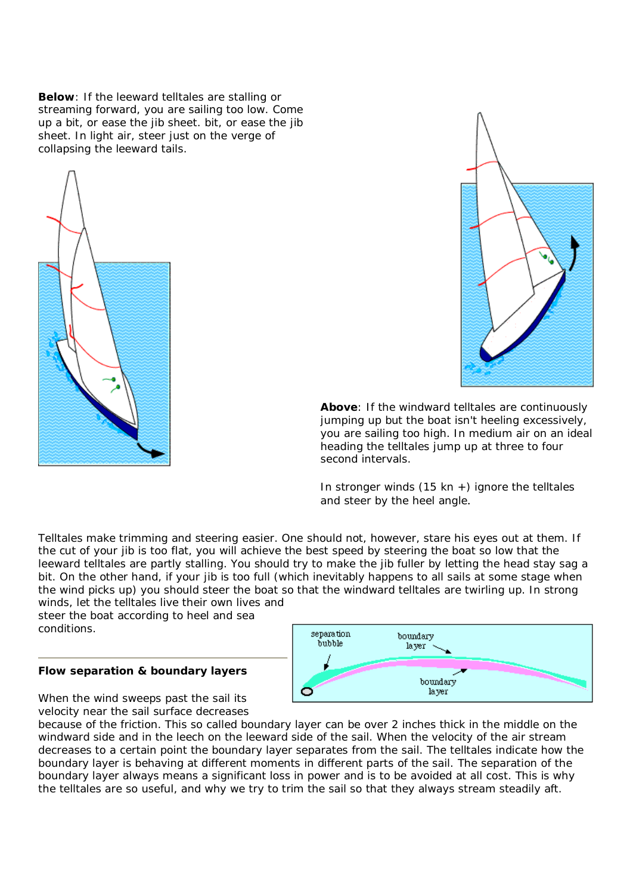**Below**: If the leeward telltales are stalling or streaming forward, you are sailing too low. Come up a bit, or ease the jib sheet. bit, or ease the jib sheet. In light air, steer just on the verge of collapsing the leeward tails.





**Above**: If the windward telltales are continuously jumping up but the boat isn't heeling excessively, you are sailing too high. In medium air on an ideal heading the telltales jump up at three to four second intervals.

In stronger winds  $(15 \text{ km } +)$  ignore the telltales and steer by the heel angle.

Telltales make trimming and steering easier. One should not, however, stare his eyes out at them. If the cut of your jib is too flat, you will achieve the best speed by steering the boat so low that the leeward telltales are partly stalling. You should try to make the jib fuller by letting the head stay sag a bit. On the other hand, if your jib is too full (which inevitably happens to all sails at some stage when the wind picks up) you should steer the boat so that the windward telltales are twirling up. In strong winds, let the telltales live their own lives and

steer the boat according to heel and sea conditions.

## **Flow separation & boundary layers**

When the wind sweeps past the sail its velocity near the sail surface decreases



because of the friction. This so called *boundary layer* can be over 2 inches thick in the middle on the windward side and in the leech on the leeward side of the sail. When the velocity of the air stream decreases to a certain point the boundary layer separates from the sail. The telltales indicate how the boundary layer is behaving at different moments in different parts of the sail. The separation of the boundary layer always means a significant loss in power and is to be avoided at all cost. This is why the telltales are so useful, and why we try to trim the sail so that they always stream steadily aft.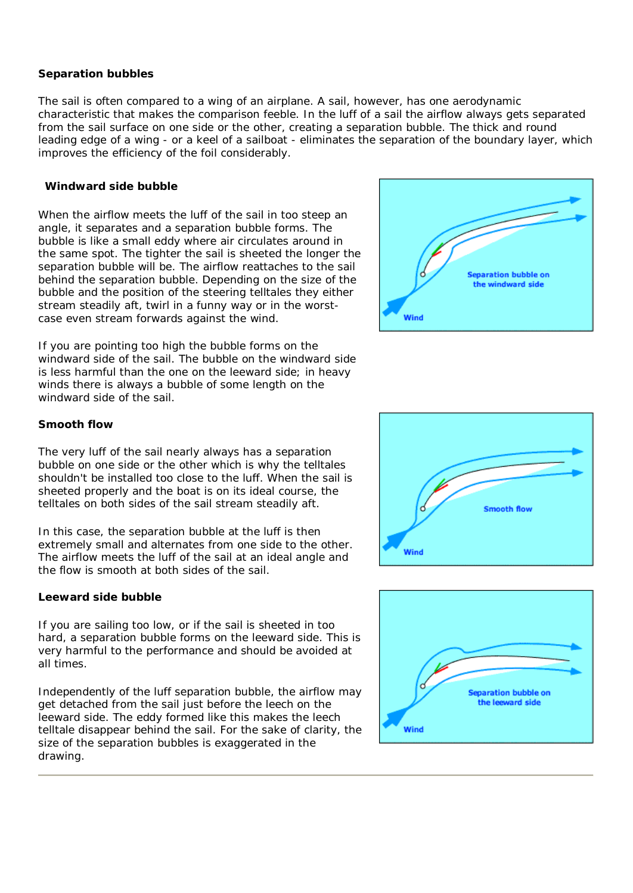#### **Separation bubbles**

The sail is often compared to a wing of an airplane. A sail, however, has one aerodynamic characteristic that makes the comparison feeble. In the luff of a sail the airflow always gets separated from the sail surface on one side or the other, creating a separation bubble. The thick and round leading edge of a wing - or a keel of a sailboat - eliminates the separation of the boundary layer, which improves the efficiency of the foil considerably.

## **Windward side bubble**

When the airflow meets the luff of the sail in too steep an angle, it separates and a separation bubble forms. The bubble is like a small eddy where air circulates around in the same spot. The tighter the sail is sheeted the longer the separation bubble will be. The airflow reattaches to the sail behind the separation bubble. Depending on the size of the bubble and the position of the steering telltales they either stream steadily aft, twirl in a funny way or in the worstcase even stream forwards against the wind.

If you are pointing too high the bubble forms on the windward side of the sail. The bubble on the windward side is less harmful than the one on the leeward side; in heavy winds there is always a bubble of some length on the windward side of the sail.



## **Smooth flow**

The very luff of the sail nearly always has a separation bubble on one side or the other which is why the telltales shouldn't be installed too close to the luff. When the sail is sheeted properly and the boat is on its ideal course, the telltales on both sides of the sail stream steadily aft.

In this case, the separation bubble at the luff is then extremely small and alternates from one side to the other. The airflow meets the luff of the sail at an ideal angle and the flow is smooth at both sides of the sail.

## **Leeward side bubble**

If you are sailing too low, or if the sail is sheeted in too hard, a separation bubble forms on the leeward side. This is very harmful to the performance and should be avoided at all times.

Independently of the luff separation bubble, the airflow may get detached from the sail just before the leech on the leeward side. The eddy formed like this makes the leech telltale disappear behind the sail. For the sake of clarity, the size of the separation bubbles is exaggerated in the drawing.